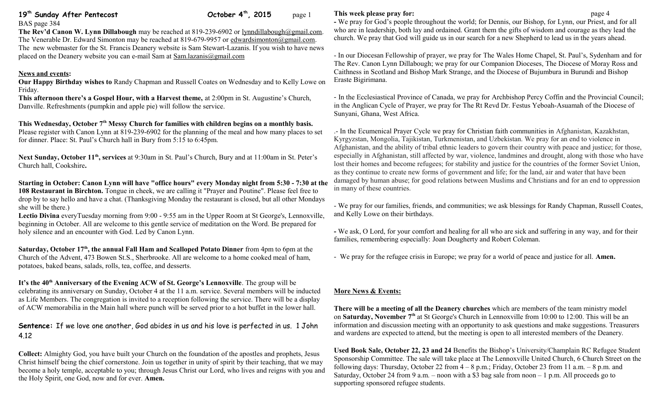# **19th Sunday After Pentecost October 4th, 2015** page 1

BAS page 384 **The Rev'd Canon W. Lynn Dillabough** may be reached at 819-239-6902 or [lynndillabough@gmail.com.](mailto:lynndillabough@gmail.com) The Venerable Dr. Edward Simonton may be reached at 819-679-9957 or [edwardsimonton@gmail.com.](mailto:edwardsimonton@gmail.com) The new webmaster for the St. Francis Deanery website is Sam Stewart-Lazanis. If you wish to have news placed on the Deanery website you can e-mail Sam at [Sam.lazanis@gmail.com](mailto:Sam.lazanis@gmail.com)

### **News and events:**

**Our Happy Birthday wishes to** Randy Chapman and Russell Coates on Wednesday and to Kelly Lowe on Friday.

**This afternoon there's a Gospel Hour, with a Harvest theme,** at 2:00pm in St. Augustine's Church, Danville. Refreshments (pumpkin and apple pie) will follow the service.

### **This Wednesday, October 7th Messy Church for families with children begins on a monthly basis.**

Please register with Canon Lynn at 819-239-6902 for the planning of the meal and how many places to set for dinner. Place: St. Paul's Church hall in Bury from 5:15 to 6:45pm.

**Next Sunday, October 11th, services** at 9:30am in St. Paul's Church, Bury and at 11:00am in St. Peter's Church hall, Cookshire**.**

**Starting in October: Canon Lynn will have "office hours" every Monday night from 5:30 - 7:30 at the 108 Restaurant in Birchton.** Tongue in cheek, we are calling it "Prayer and Poutine". Please feel free to drop by to say hello and have a chat. (Thanksgiving Monday the restaurant is closed, but all other Mondays she will be there.)

**Lectio Divina** everyTuesday morning from 9:00 - 9:55 am in the Upper Room at St George's, Lennoxville, beginning in October. All are welcome to this gentle service of meditation on the Word. Be prepared for holy silence and an encounter with God. Led by Canon Lynn.

**Saturday, October 17th, the annual Fall Ham and Scalloped Potato Dinner** from 4pm to 6pm at the Church of the Advent, 473 Bowen St.S., Sherbrooke. All are welcome to a home cooked meal of ham, potatoes, baked beans, salads, rolls, tea, coffee, and desserts.

**It's the 40th Anniversary of the Evening ACW of St. George's Lennoxville**. The group will be celebrating its anniversary on Sunday, October 4 at the 11 a.m. service. Several members will be inducted as Life Members. The congregation is invited to a reception following the service. There will be a display of ACW memorabilia in the Main hall where punch will be served prior to a hot buffet in the lower hall.

## **Sentence:** If we love one another, God abides in us and his love is perfected in us. 1 John 4.12

**Collect:** Almighty God, you have built your Church on the foundation of the apostles and prophets, Jesus Christ himself being the chief cornerstone. Join us together in unity of spirit by their teaching, that we may become a holy temple, acceptable to you; through Jesus Christ our Lord, who lives and reigns with you and the Holy Spirit, one God, now and for ever. **Amen.**

#### **This week please pray for: page 4**

**-** We pray for God's people throughout the world; for Dennis, our Bishop, for Lynn, our Priest, and for all who are in leadership, both lay and ordained. Grant them the gifts of wisdom and courage as they lead the church. We pray that God will guide us in our search for a new Shepherd to lead us in the years ahead.

- In our Diocesan Fellowship of prayer, we pray for The Wales Home Chapel, St. Paul's, Sydenham and for The Rev. Canon Lynn Dillabough; we pray for our Companion Dioceses, The Diocese of Moray Ross and Caithness in Scotland and Bishop Mark Strange, and the Diocese of Bujumbura in Burundi and Bishop Eraste Bigirimana.

- In the Ecclesiastical Province of Canada, we pray for Archbishop Percy Coffin and the Provincial Council; in the Anglican Cycle of Prayer, we pray for The Rt Revd Dr. Festus Yeboah-Asuamah of the Diocese of Sunyani, Ghana, West Africa.

.- In the Ecumenical Prayer Cycle we pray for Christian faith communities in Afghanistan, Kazakhstan, Kyrgyzstan, Mongolia, Tajikistan, Turkmenistan, and Uzbekistan. We pray for an end to violence in Afghanistan, and the ability of tribal ethnic leaders to govern their country with peace and justice; for those, especially in Afghanistan, still affected by war, violence, landmines and drought, along with those who have lost their homes and become refugees; for stability and justice for the countries of the former Soviet Union, as they continue to create new forms of government and life; for the land, air and water that have been damaged by human abuse; for good relations between Muslims and Christians and for an end to oppression in many of these countries.

- We pray for our families, friends, and communities; we ask blessings for Randy Chapman, Russell Coates, and Kelly Lowe on their birthdays.

**-** We ask, O Lord, for your comfort and healing for all who are sick and suffering in any way, and for their families, remembering especially: Joan Dougherty and Robert Coleman.

- We pray for the refugee crisis in Europe; we pray for a world of peace and justice for all. **Amen.**

#### **More News & Events:**

**There will be a meeting of all the Deanery churches** which are members of the team ministry model on **Saturday, November 7th** at St George's Church in Lennoxville from 10:00 to 12:00. This will be an information and discussion meeting with an opportunity to ask questions and make suggestions. Treasurers and wardens are expected to attend, but the meeting is open to all interested members of the Deanery.

**Used Book Sale, October 22, 23 and 24** Benefits the Bishop's University/Champlain RC Refugee Student Sponsorship Committee. The sale will take place at The Lennoxville United Church, 6 Church Street on the following days: Thursday, October 22 from  $4 - 8$  p.m.; Friday, October 23 from 11 a.m.  $- 8$  p.m. and Saturday, October 24 from 9 a.m. – noon with a  $\overline{3}$  bag sale from noon – 1 p.m. All proceeds go to supporting sponsored refugee students.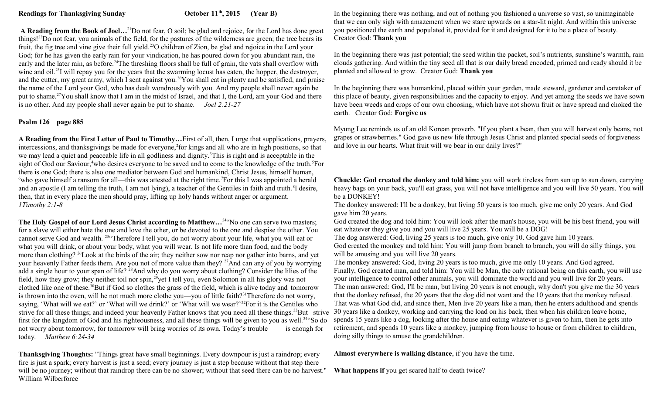**A Reading from the Book of Joel…**<sup>21</sup>Do not fear, O soil; be glad and rejoice, for the Lord has done great things!<sup>22</sup>Do not fear, you animals of the field, for the pastures of the wilderness are green; the tree bears its fruit, the fig tree and vine give their full yield.<sup>23</sup>O children of Zion, be glad and rejoice in the Lord your God; for he has given the early rain for your vindication, he has poured down for you abundant rain, the early and the later rain, as before.<sup>24</sup>The threshing floors shall be full of grain, the vats shall overflow with wine and oil.<sup>25</sup>I will repay you for the years that the swarming locust has eaten, the hopper, the destroyer, and the cutter, my great army, which I sent against you.<sup>26</sup>You shall eat in plenty and be satisfied, and praise the name of the Lord your God, who has dealt wondrously with you. And my people shall never again be put to shame.<sup>27</sup>You shall know that I am in the midst of Israel, and that I, the Lord, am your God and there is no other. And my people shall never again be put to shame. *Joel 2:21-27*

### **Psalm 126 page 885**

**A Reading from the First Letter of Paul to Timothy…**First of all, then, I urge that supplications, prayers, intercessions, and thanksgivings be made for everyone,<sup>2</sup> for kings and all who are in high positions, so that we may lead a quiet and peaceable life in all godliness and dignity.<sup>3</sup>This is right and is acceptable in the sight of God our Saviour,<sup>4</sup>who desires everyone to be saved and to come to the knowledge of the truth.<sup>5</sup>For there is one God; there is also one mediator between God and humankind, Christ Jesus, himself human, <sup>6</sup>who gave himself a ransom for all—this was attested at the right time.<sup>7</sup>For this I was appointed a herald and an apostle (I am telling the truth, I am not lying), a teacher of the Gentiles in faith and truth.<sup>8</sup>I desire, then, that in every place the men should pray, lifting up holy hands without anger or argument. *1Timothy 2:1-8*

**The Holy Gospel of our Lord Jesus Christ according to Matthew…**<sup>24</sup>"No one can serve two masters; for a slave will either hate the one and love the other, or be devoted to the one and despise the other. You cannot serve God and wealth. <sup>25</sup>"Therefore I tell you, do not worry about your life, what you will eat or what you will drink, or about your body, what you will wear. Is not life more than food, and the body more than clothing? <sup>26</sup>Look at the birds of the air; they neither sow nor reap nor gather into barns, and yet your heavenly Father feeds them. Are you not of more value than they? <sup>27</sup>And can any of you by worrying add a single hour to your span of life? <sup>28</sup>And why do you worry about clothing? Consider the lilies of the field, how they grow; they neither toil nor spin,<sup>29</sup>yet I tell you, even Solomon in all his glory was not clothed like one of these.<sup>30</sup>But if God so clothes the grass of the field, which is alive today and tomorrow is thrown into the oven, will he not much more clothe you—you of little faith?<sup>31</sup>Therefore do not worry, saying, 'What will we eat?' or 'What will we drink?' or 'What will we wear?'<sup>32</sup>For it is the Gentiles who strive for all these things; and indeed your heavenly Father knows that you need all these things.<sup>33</sup>But strive 30 years like a donkey, working and carrying the load on his back, then when his children leave home, first for the kingdom of God and his righteousness, and all these things will be given to you as well.<sup>34</sup>"So do not worry about tomorrow, for tomorrow will bring worries of its own. Today's trouble is enough for today. *Matthew 6:24-34* 

**Thanksgiving Thoughts:** "Things great have small beginnings. Every downpour is just a raindrop; every fire is just a spark; every harvest is just a seed; every journey is just a step because without that step there will be no journey; without that raindrop there can be no shower; without that seed there can be no harvest." William Wilberforce

In the beginning there was nothing, and out of nothing you fashioned a universe so vast, so unimaginable that we can only sigh with amazement when we stare upwards on a star-lit night. And within this universe you positioned the earth and populated it, provided for it and designed for it to be a place of beauty. Creator God: **Thank you**

In the beginning there was just potential; the seed within the packet, soil's nutrients, sunshine's warmth, rain clouds gathering. And within the tiny seed all that is our daily bread encoded, primed and ready should it be planted and allowed to grow. Creator God: **Thank you**

In the beginning there was humankind, placed within your garden, made steward, gardener and caretaker of this place of beauty, given responsibilities and the capacity to enjoy. And yet among the seeds we have sown have been weeds and crops of our own choosing, which have not shown fruit or have spread and choked the earth. Creator God: **Forgive us**

Myung Lee reminds us of an old Korean proverb. "If you plant a bean, then you will harvest only beans, not grapes or strawberries." God gave us new life through Jesus Christ and planted special seeds of forgiveness and love in our hearts. What fruit will we bear in our daily lives?"

**Chuckle: God created the donkey and told him:** you will work tireless from sun up to sun down, carrying heavy bags on your back, you'll eat grass, you will not have intelligence and you will live 50 years. You will be a DONKEY!

The donkey answered: I'll be a donkey, but living 50 years is too much, give me only 20 years. And God gave him 20 years.

God created the dog and told him: You will look after the man's house, you will be his best friend, you will eat whatever they give you and you will live 25 years. You will be a DOG!

The dog answered: God, living 25 years is too much, give only 10. God gave him 10 years. God created the monkey and told him: You will jump from branch to branch, you will do silly things, you will be amusing and you will live 20 years.

The monkey answered: God, living 20 years is too much, give me only 10 years. And God agreed. Finally, God created man, and told him: You will be Man, the only rational being on this earth, you will use your intelligence to control other animals, you will dominate the world and you will live for 20 years. The man answered: God, I'll be man, but living 20 years is not enough, why don't you give me the 30 years that the donkey refused, the 20 years that the dog did not want and the 10 years that the monkey refused. That was what God did, and since then, Men live 20 years like a man, then he enters adulthood and spends spends 15 years like a dog, looking after the house and eating whatever is given to him, then he gets into retirement, and spends 10 years like a monkey, jumping from house to house or from children to children, doing silly things to amuse the grandchildren.

**Almost everywhere is walking distance**, if you have the time.

**What happens if** you get scared half to death twice?